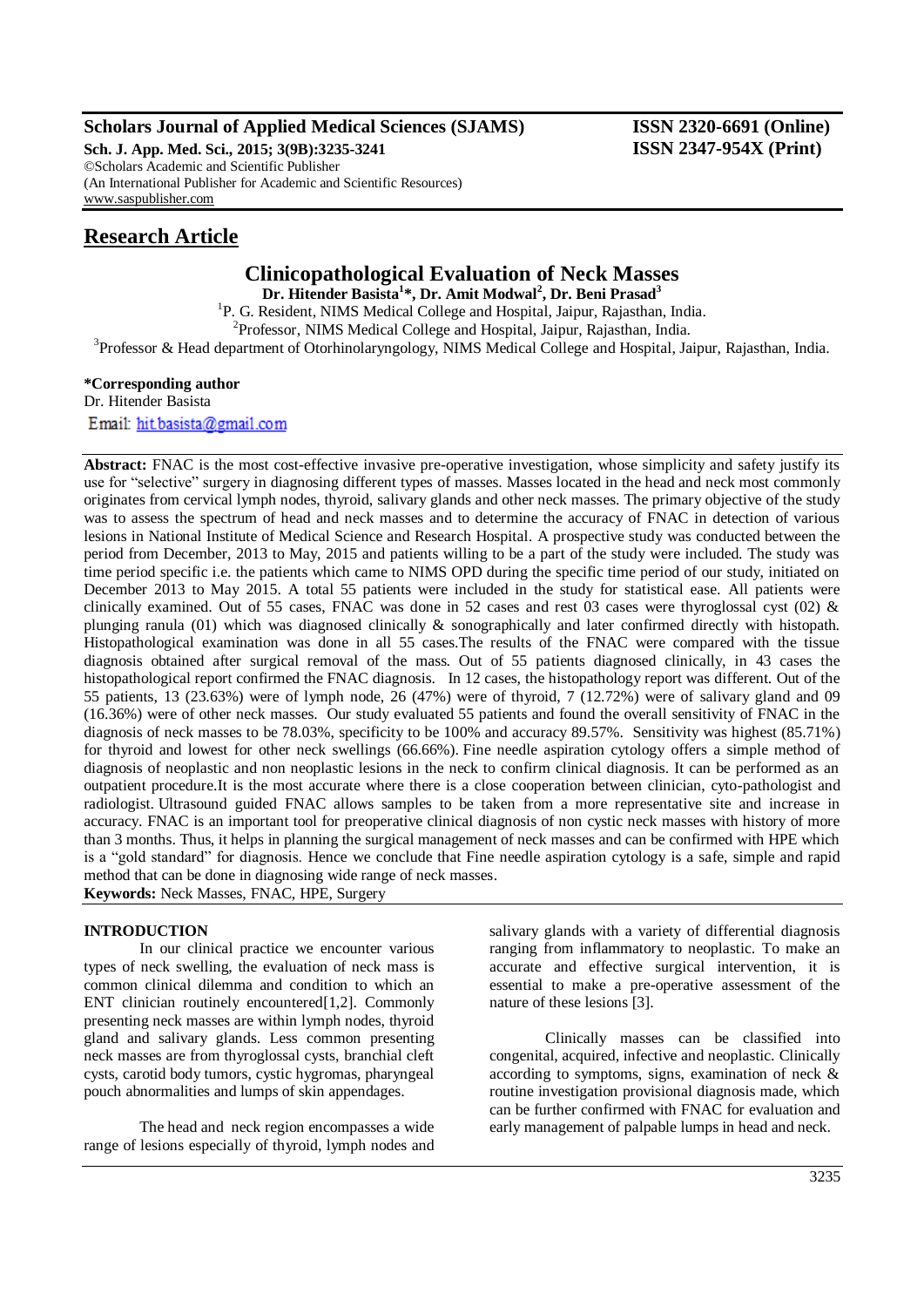## **Scholars Journal of Applied Medical Sciences (SJAMS) ISSN 2320-6691 (Online)**

**Sch. J. App. Med. Sci., 2015; 3(9B):3235-3241 ISSN 2347-954X (Print)** ©Scholars Academic and Scientific Publisher (An International Publisher for Academic and Scientific Resources) [www.saspublisher.com](http://www.saspublisher.com/)

## **Research Article**

# **Clinicopathological Evaluation of Neck Masses**

**Dr. Hitender Basista<sup>1</sup> \*, Dr. Amit Modwal<sup>2</sup> , Dr. Beni Prasad<sup>3</sup>**

<sup>1</sup>P. G. Resident, NIMS Medical College and Hospital, Jaipur, Rajasthan, India.

2 Professor, NIMS Medical College and Hospital, Jaipur, Rajasthan, India.

<sup>3</sup>Professor & Head department of Otorhinolaryngology, NIMS Medical College and Hospital, Jaipur, Rajasthan, India.

## **\*Corresponding author**

Dr. Hitender Basista

Email: hit.basista@gmail.com

**Abstract:** FNAC is the most cost-effective invasive pre-operative investigation, whose simplicity and safety justify its use for "selective" surgery in diagnosing different types of masses. Masses located in the head and neck most commonly originates from cervical lymph nodes, thyroid, salivary glands and other neck masses. The primary objective of the study was to assess the spectrum of head and neck masses and to determine the accuracy of FNAC in detection of various lesions in National Institute of Medical Science and Research Hospital. A prospective study was conducted between the period from December, 2013 to May, 2015 and patients willing to be a part of the study were included. The study was time period specific i.e. the patients which came to NIMS OPD during the specific time period of our study, initiated on December 2013 to May 2015. A total 55 patients were included in the study for statistical ease. All patients were clinically examined. Out of 55 cases, FNAC was done in 52 cases and rest 03 cases were thyroglossal cyst (02)  $\&$ plunging ranula (01) which was diagnosed clinically & sonographically and later confirmed directly with histopath. Histopathological examination was done in all 55 cases.The results of the FNAC were compared with the tissue diagnosis obtained after surgical removal of the mass. Out of 55 patients diagnosed clinically, in 43 cases the histopathological report confirmed the FNAC diagnosis. In 12 cases, the histopathology report was different. Out of the 55 patients, 13 (23.63%) were of lymph node, 26 (47%) were of thyroid, 7 (12.72%) were of salivary gland and 09 (16.36%) were of other neck masses. Our study evaluated 55 patients and found the overall sensitivity of FNAC in the diagnosis of neck masses to be 78.03%, specificity to be 100% and accuracy 89.57%. Sensitivity was highest (85.71%) for thyroid and lowest for other neck swellings (66.66%). Fine needle aspiration cytology offers a simple method of diagnosis of neoplastic and non neoplastic lesions in the neck to confirm clinical diagnosis. It can be performed as an outpatient procedure.It is the most accurate where there is a close cooperation between clinician, cyto-pathologist and radiologist. Ultrasound guided FNAC allows samples to be taken from a more representative site and increase in accuracy. FNAC is an important tool for preoperative clinical diagnosis of non cystic neck masses with history of more than 3 months. Thus, it helps in planning the surgical management of neck masses and can be confirmed with HPE which is a "gold standard" for diagnosis. Hence we conclude that Fine needle aspiration cytology is a safe, simple and rapid method that can be done in diagnosing wide range of neck masses. **Keywords:** Neck Masses, FNAC, HPE, Surgery

# **INTRODUCTION**

In our clinical practice we encounter various types of neck swelling, the evaluation of neck mass is common clinical dilemma and condition to which an ENT clinician routinely encountered[1,2]. Commonly presenting neck masses are within lymph nodes, thyroid gland and salivary glands. Less common presenting neck masses are from thyroglossal cysts, branchial cleft cysts, carotid body tumors, cystic hygromas, pharyngeal pouch abnormalities and lumps of skin appendages.

The head and neck region encompasses a wide range of lesions especially of thyroid, lymph nodes and

salivary glands with a variety of differential diagnosis ranging from inflammatory to neoplastic. To make an accurate and effective surgical intervention, it is essential to make a pre-operative assessment of the nature of these lesions [3].

Clinically masses can be classified into congenital, acquired, infective and neoplastic. Clinically according to symptoms, signs, examination of neck & routine investigation provisional diagnosis made, which can be further confirmed with FNAC for evaluation and early management of palpable lumps in head and neck.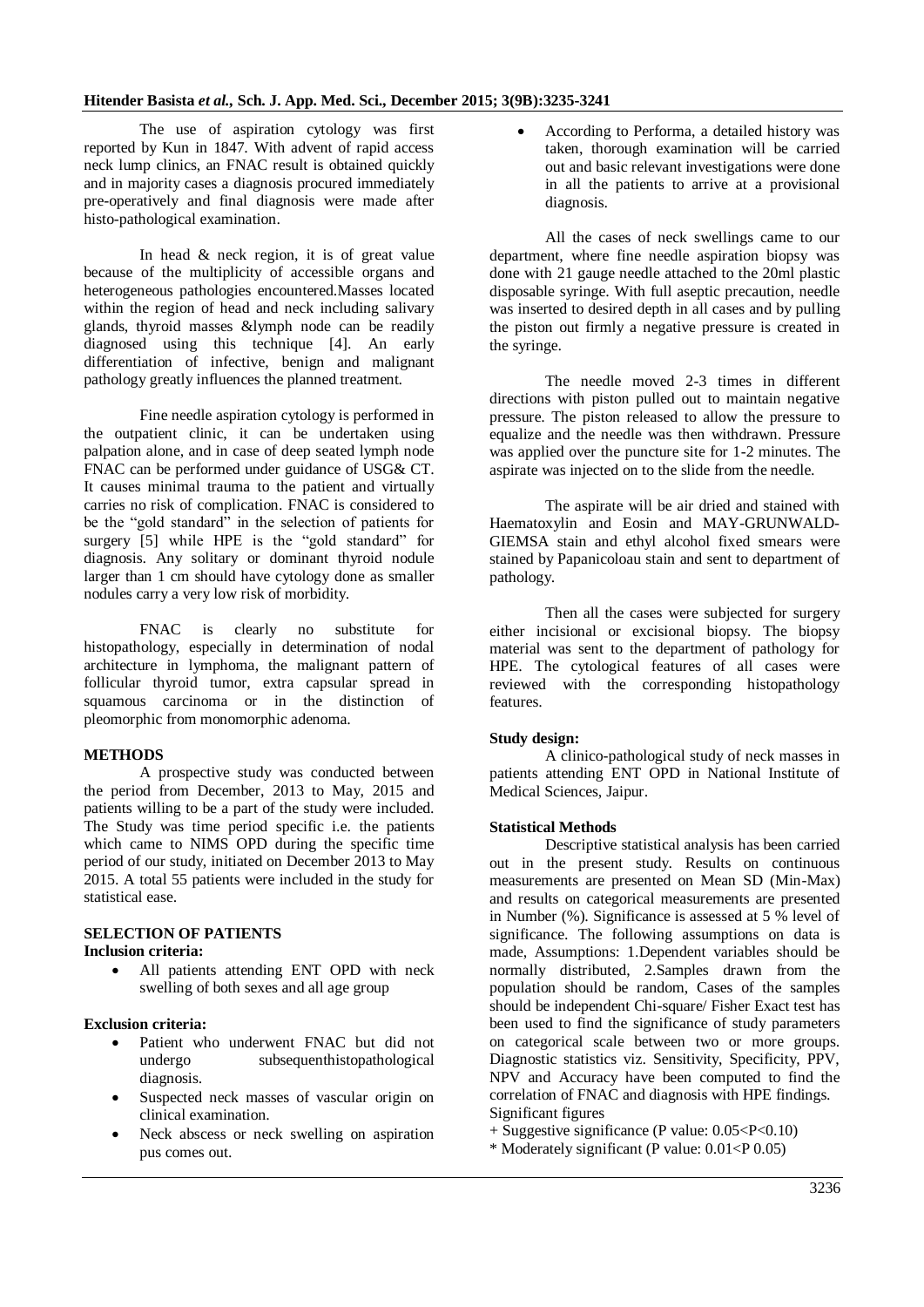#### **Hitender Basista** *et al.,* **Sch. J. App. Med. Sci., December 2015; 3(9B):3235-3241**

The use of aspiration cytology was first reported by Kun in 1847. With advent of rapid access neck lump clinics, an FNAC result is obtained quickly and in majority cases a diagnosis procured immediately pre-operatively and final diagnosis were made after histo-pathological examination.

In head & neck region, it is of great value because of the multiplicity of accessible organs and heterogeneous pathologies encountered.Masses located within the region of head and neck including salivary glands, thyroid masses &lymph node can be readily diagnosed using this technique [4]. An early differentiation of infective, benign and malignant pathology greatly influences the planned treatment.

Fine needle aspiration cytology is performed in the outpatient clinic, it can be undertaken using palpation alone, and in case of deep seated lymph node FNAC can be performed under guidance of USG& CT. It causes minimal trauma to the patient and virtually carries no risk of complication. FNAC is considered to be the "gold standard" in the selection of patients for surgery [5] while HPE is the "gold standard" for diagnosis. Any solitary or dominant thyroid nodule larger than 1 cm should have cytology done as smaller nodules carry a very low risk of morbidity.

FNAC is clearly no substitute for histopathology, especially in determination of nodal architecture in lymphoma, the malignant pattern of follicular thyroid tumor, extra capsular spread in squamous carcinoma or in the distinction of pleomorphic from monomorphic adenoma.

#### **METHODS**

A prospective study was conducted between the period from December, 2013 to May, 2015 and patients willing to be a part of the study were included. The Study was time period specific i.e. the patients which came to NIMS OPD during the specific time period of our study, initiated on December 2013 to May 2015. A total 55 patients were included in the study for statistical ease.

#### **SELECTION OF PATIENTS Inclusion criteria:**

 All patients attending ENT OPD with neck swelling of both sexes and all age group

#### **Exclusion criteria:**

- Patient who underwent FNAC but did not undergo subsequent is to a subsequently subsequently subsequently in the undergo subsequently subsequently subsequently subsequently subsequently subsequently subsequently subsequentl subsequenthistopathological diagnosis.
- Suspected neck masses of vascular origin on clinical examination.
- Neck abscess or neck swelling on aspiration pus comes out.

 According to Performa, a detailed history was taken, thorough examination will be carried out and basic relevant investigations were done in all the patients to arrive at a provisional diagnosis.

All the cases of neck swellings came to our department, where fine needle aspiration biopsy was done with 21 gauge needle attached to the 20ml plastic disposable syringe. With full aseptic precaution, needle was inserted to desired depth in all cases and by pulling the piston out firmly a negative pressure is created in the syringe.

The needle moved 2-3 times in different directions with piston pulled out to maintain negative pressure. The piston released to allow the pressure to equalize and the needle was then withdrawn. Pressure was applied over the puncture site for 1-2 minutes. The aspirate was injected on to the slide from the needle.

The aspirate will be air dried and stained with Haematoxylin and Eosin and MAY-GRUNWALD-GIEMSA stain and ethyl alcohol fixed smears were stained by Papanicoloau stain and sent to department of pathology.

Then all the cases were subjected for surgery either incisional or excisional biopsy. The biopsy material was sent to the department of pathology for HPE. The cytological features of all cases were reviewed with the corresponding histopathology features.

#### **Study design:**

A clinico-pathological study of neck masses in patients attending ENT OPD in National Institute of Medical Sciences, Jaipur.

#### **Statistical Methods**

Descriptive statistical analysis has been carried out in the present study. Results on continuous measurements are presented on Mean SD (Min-Max) and results on categorical measurements are presented in Number (%). Significance is assessed at 5 % level of significance. The following assumptions on data is made, Assumptions: 1.Dependent variables should be normally distributed, 2.Samples drawn from the population should be random, Cases of the samples should be independent Chi-square/ Fisher Exact test has been used to find the significance of study parameters on categorical scale between two or more groups. Diagnostic statistics viz. Sensitivity, Specificity, PPV, NPV and Accuracy have been computed to find the correlation of FNAC and diagnosis with HPE findings. Significant figures

 $+$  Suggestive significance (P value: 0.05 < P < 0.10)

\* Moderately significant (P value: 0.01<P 0.05)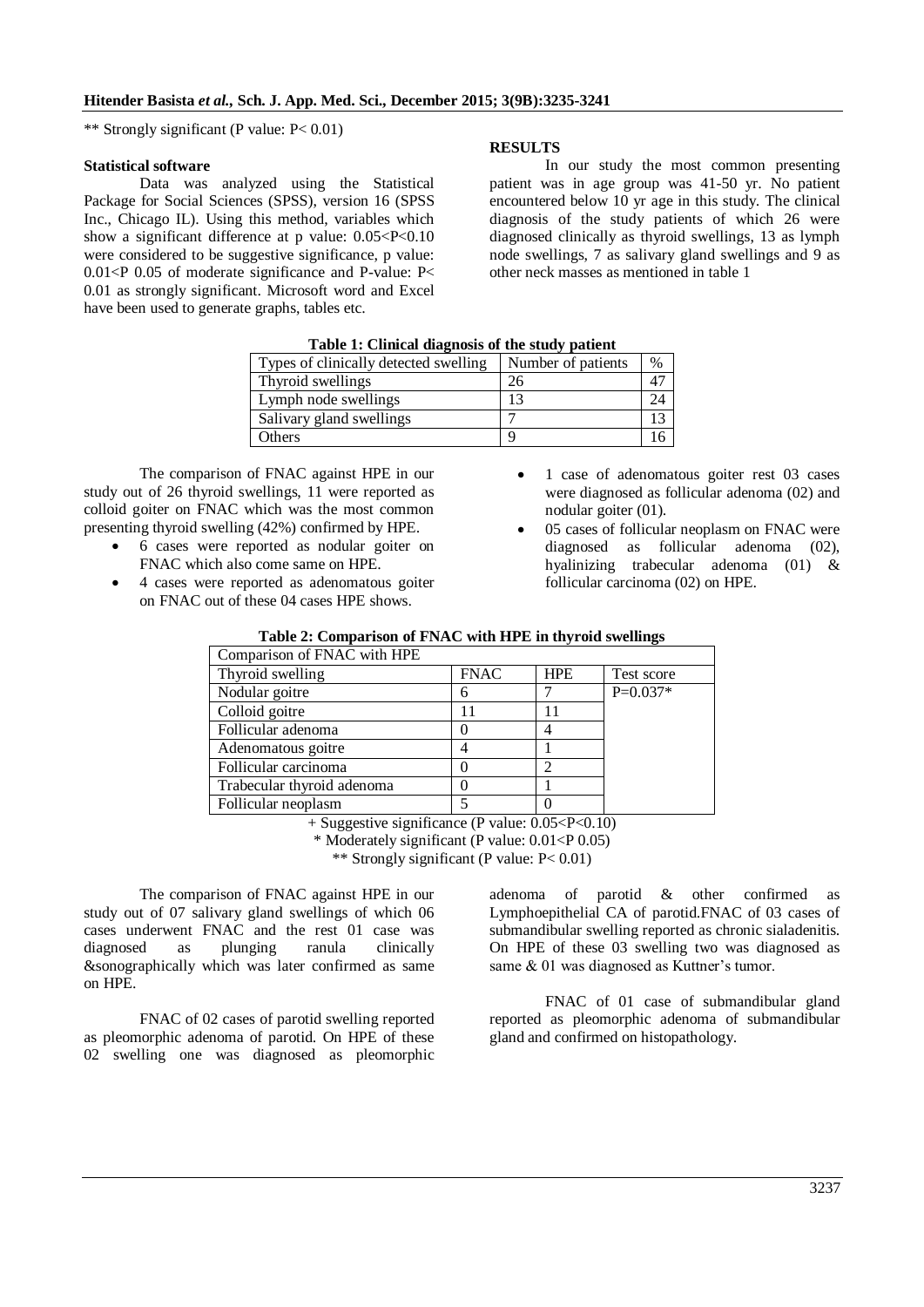\*\* Strongly significant (P value: P< 0.01)

#### **Statistical software**

Data was analyzed using the Statistical Package for Social Sciences (SPSS), version 16 (SPSS Inc., Chicago IL). Using this method, variables which show a significant difference at p value:  $0.05 < P < 0.10$ were considered to be suggestive significance, p value: 0.01<P 0.05 of moderate significance and P-value: P< 0.01 as strongly significant. Microsoft word and Excel have been used to generate graphs, tables etc.

#### **RESULTS**

In our study the most common presenting patient was in age group was 41-50 yr. No patient encountered below 10 yr age in this study. The clinical diagnosis of the study patients of which 26 were diagnosed clinically as thyroid swellings, 13 as lymph node swellings, 7 as salivary gland swellings and 9 as other neck masses as mentioned in table 1

| <b>Table 1: Chilical diagnosis of the study patient</b> |                    |               |  |  |  |
|---------------------------------------------------------|--------------------|---------------|--|--|--|
| Types of clinically detected swelling                   | Number of patients | $\frac{0}{0}$ |  |  |  |
| Thyroid swellings                                       | 26                 | 47            |  |  |  |
| Lymph node swellings                                    | 13                 | 24            |  |  |  |
| Salivary gland swellings                                |                    | 13            |  |  |  |
| <b>Others</b>                                           |                    |               |  |  |  |

**Table 1: Clinical diagnosis of the study patient**

The comparison of FNAC against HPE in our study out of 26 thyroid swellings, 11 were reported as colloid goiter on FNAC which was the most common presenting thyroid swelling (42%) confirmed by HPE.

- 6 cases were reported as nodular goiter on FNAC which also come same on HPE.
- 4 cases were reported as adenomatous goiter on FNAC out of these 04 cases HPE shows.
- 1 case of adenomatous goiter rest 03 cases were diagnosed as follicular adenoma (02) and nodular goiter (01).
- 05 cases of follicular neoplasm on FNAC were diagnosed as follicular adenoma (02), hyalinizing trabecular adenoma (01) & follicular carcinoma (02) on HPE.

| Comparison of FNAC with HPE |             |            |            |
|-----------------------------|-------------|------------|------------|
| Thyroid swelling            | <b>FNAC</b> | <b>HPE</b> | Test score |
| Nodular goitre              | 6           |            | $P=0.037*$ |
| Colloid goitre              |             |            |            |
| Follicular adenoma          |             |            |            |
| Adenomatous goitre          |             |            |            |
| Follicular carcinoma        |             |            |            |
| Trabecular thyroid adenoma  |             |            |            |
| Follicular neoplasm         |             |            |            |

## **Table 2: Comparison of FNAC with HPE in thyroid swellings**

+ Suggestive significance (P value: 0.05<P<0.10)

\* Moderately significant (P value: 0.01<P 0.05)

\*\* Strongly significant (P value: P< 0.01)

The comparison of FNAC against HPE in our study out of 07 salivary gland swellings of which 06 cases underwent FNAC and the rest 01 case was diagnosed as plunging ranula clinically &sonographically which was later confirmed as same on HPE.

FNAC of 02 cases of parotid swelling reported as pleomorphic adenoma of parotid. On HPE of these 02 swelling one was diagnosed as pleomorphic

adenoma of parotid & other confirmed as Lymphoepithelial CA of parotid.FNAC of 03 cases of submandibular swelling reported as chronic sialadenitis. On HPE of these 03 swelling two was diagnosed as same & 01 was diagnosed as Kuttner's tumor.

FNAC of 01 case of submandibular gland reported as pleomorphic adenoma of submandibular gland and confirmed on histopathology.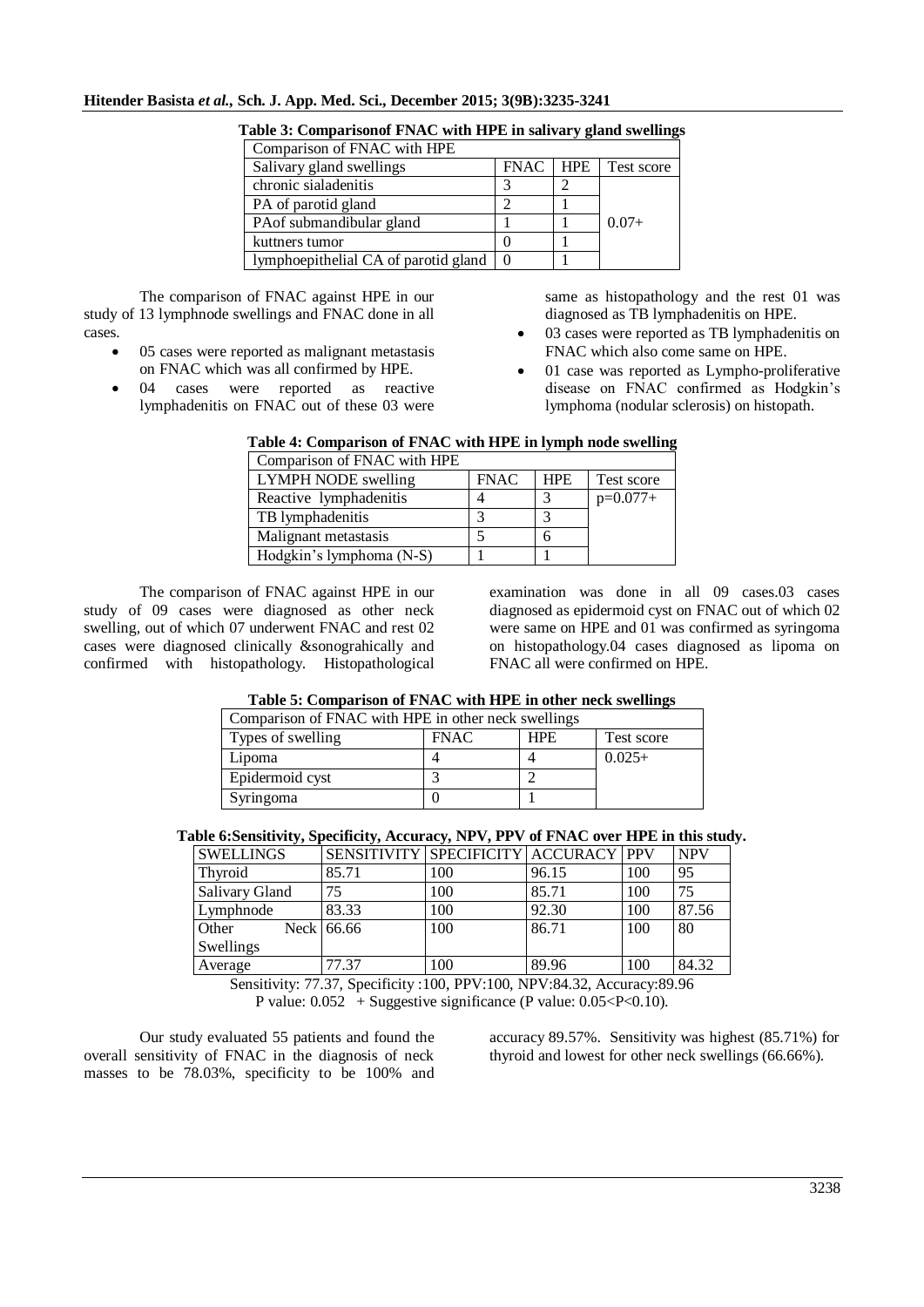## **Hitender Basista** *et al.,* **Sch. J. App. Med. Sci., December 2015; 3(9B):3235-3241**

| Comparison of FNAC with HPE          |            |            |         |  |  |
|--------------------------------------|------------|------------|---------|--|--|
| Salivary gland swellings             | <b>HPE</b> | Test score |         |  |  |
| chronic sialadenitis                 |            |            |         |  |  |
| PA of parotid gland                  | ◠          |            |         |  |  |
| PAof submandibular gland             |            |            | $0.07+$ |  |  |
| kuttners tumor                       |            |            |         |  |  |
| lymphoepithelial CA of parotid gland |            |            |         |  |  |

**Table 3: Comparisonof FNAC with HPE in salivary gland swellings**

The comparison of FNAC against HPE in our study of 13 lymphnode swellings and FNAC done in all cases.

- 05 cases were reported as malignant metastasis on FNAC which was all confirmed by HPE.
- 04 cases were reported as reactive lymphadenitis on FNAC out of these 03 were

same as histopathology and the rest 01 was diagnosed as TB lymphadenitis on HPE.

- 03 cases were reported as TB lymphadenitis on FNAC which also come same on HPE.
- 01 case was reported as Lympho-proliferative disease on FNAC confirmed as Hodgkin's lymphoma (nodular sclerosis) on histopath.

| Comparison of FNAC with HPE |             |            |            |
|-----------------------------|-------------|------------|------------|
| LYMPH NODE swelling         | <b>FNAC</b> | <b>HPE</b> | Test score |
| Reactive lymphadenitis      |             |            | $p=0.077+$ |
| TB lymphadenitis            |             |            |            |
| Malignant metastasis        |             |            |            |
| Hodgkin's lymphoma (N-S)    |             |            |            |
|                             |             |            |            |

## **Table 4: Comparison of FNAC with HPE in lymph node swelling**

The comparison of FNAC against HPE in our study of 09 cases were diagnosed as other neck swelling, out of which 07 underwent FNAC and rest 02 cases were diagnosed clinically &sonograhically and confirmed with histopathology. Histopathological

examination was done in all 09 cases.03 cases diagnosed as epidermoid cyst on FNAC out of which 02 were same on HPE and 01 was confirmed as syringoma on histopathology.04 cases diagnosed as lipoma on FNAC all were confirmed on HPE.

#### **Table 5: Comparison of FNAC with HPE in other neck swellings**

| Comparison of FNAC with HPE in other neck swellings |             |            |            |  |
|-----------------------------------------------------|-------------|------------|------------|--|
| Types of swelling                                   | <b>FNAC</b> | <b>HPE</b> | Test score |  |
| Lipoma                                              |             |            | $0.025+$   |  |
| Epidermoid cyst                                     |             |            |            |  |
| Syringoma                                           |             |            |            |  |

#### **Table 6:Sensitivity, Specificity, Accuracy, NPV, PPV of FNAC over HPE in this study.**

|            |                            | SENSITIVITY SPECIFICITY ACCURACY PPV |     | <b>NPV</b>                                   |
|------------|----------------------------|--------------------------------------|-----|----------------------------------------------|
| 85.71      | 100                        | 96.15                                | 100 | 95                                           |
| 75         | 100                        | 85.71                                | 100 | 75                                           |
| 83.33      | 100                        | 92.30                                | 100 | 87.56                                        |
| Neck 66.66 | 100                        | 86.71                                | 100 | 80                                           |
|            |                            |                                      |     |                                              |
| 77.37      | 100                        | 89.96                                | 100 | 84.32                                        |
|            | $\sim$ $\sim$<br>$- - - -$ |                                      |     | 100.751100.35210100.<br>$\sim$ $\sim$ $\sim$ |

Sensitivity: 77.37, Specificity :100, PPV:100, NPV:84.32, Accuracy:89.96 P value:  $0.052 +$  Suggestive significance (P value:  $0.05 < P < 0.10$ ).

Our study evaluated 55 patients and found the overall sensitivity of FNAC in the diagnosis of neck masses to be 78.03%, specificity to be 100% and

accuracy 89.57%. Sensitivity was highest (85.71%) for thyroid and lowest for other neck swellings (66.66%).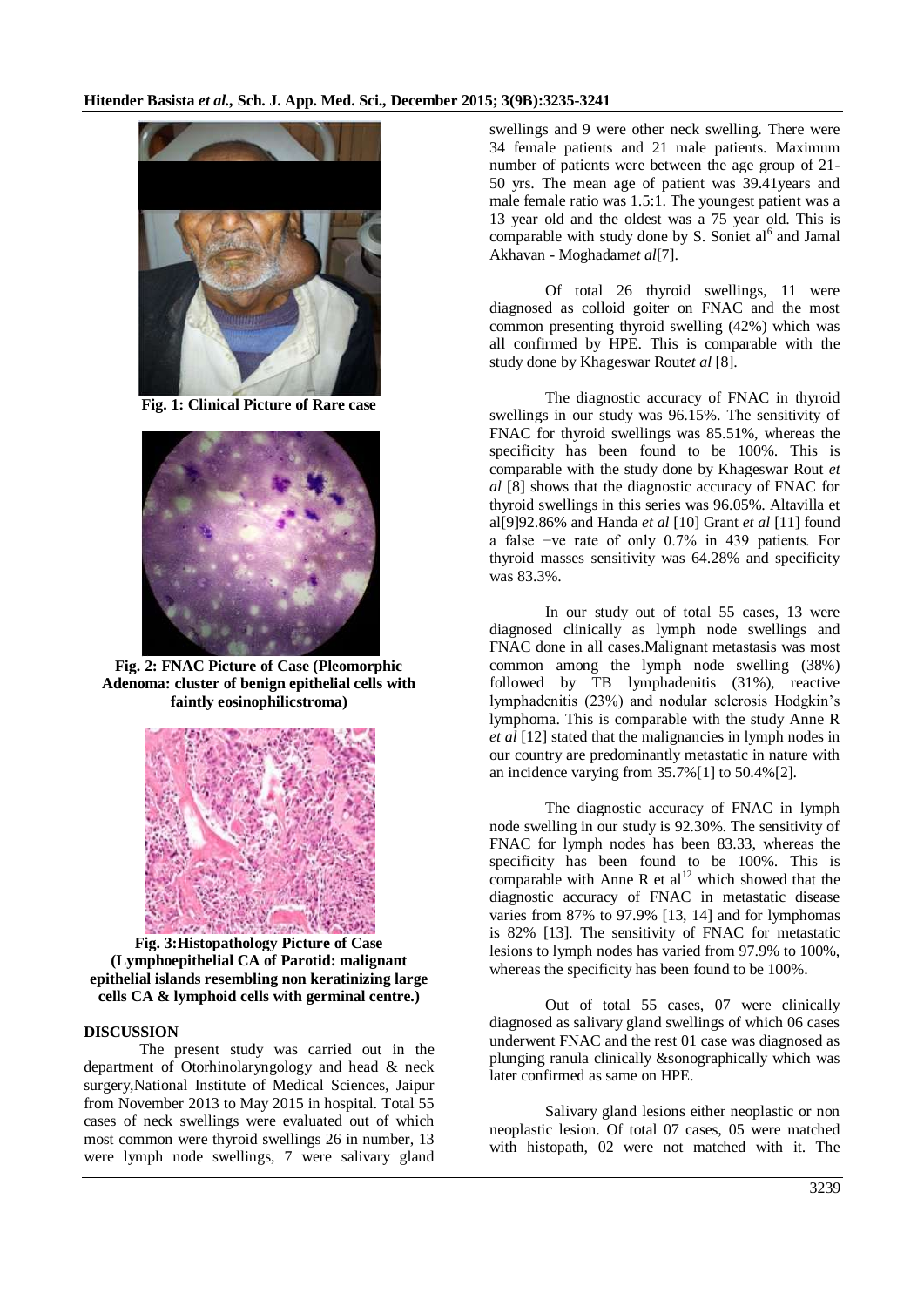

**Fig. 1: Clinical Picture of Rare case**



**Fig. 2: FNAC Picture of Case (Pleomorphic Adenoma: cluster of benign epithelial cells with faintly eosinophilicstroma)** 



**Fig. 3:Histopathology Picture of Case (Lymphoepithelial CA of Parotid: malignant epithelial islands resembling non keratinizing large cells CA & lymphoid cells with germinal centre.)**

#### **DISCUSSION**

The present study was carried out in the department of Otorhinolaryngology and head & neck surgery,National Institute of Medical Sciences, Jaipur from November 2013 to May 2015 in hospital. Total 55 cases of neck swellings were evaluated out of which most common were thyroid swellings 26 in number, 13 were lymph node swellings, 7 were salivary gland

swellings and 9 were other neck swelling. There were 34 female patients and 21 male patients. Maximum number of patients were between the age group of 21- 50 yrs. The mean age of patient was 39.41years and male female ratio was 1.5:1. The youngest patient was a 13 year old and the oldest was a 75 year old. This is comparable with study done by S. Soniet  $al<sup>6</sup>$  and Jamal Akhavan - [Moghadam](http://www.ncbi.nlm.nih.gov/pubmed/?term=Akhavan-Moghadam%20J%5Bauth%5D)*et al*[7].

Of total 26 thyroid swellings, 11 were diagnosed as colloid goiter on FNAC and the most common presenting thyroid swelling (42%) which was all confirmed by HPE. This is comparable with the study done by [Khageswar Rout](http://www.ncbi.nlm.nih.gov/pubmed/?term=Rout%20K%5Bauth%5D)*et al* [8].

The diagnostic accuracy of FNAC in thyroid swellings in our study was 96.15%. The sensitivity of FNAC for thyroid swellings was 85.51%, whereas the specificity has been found to be 100%. This is comparable with the study done by [Khageswar Rout](http://www.ncbi.nlm.nih.gov/pubmed/?term=Rout%20K%5Bauth%5D) *et al* [8] shows that the diagnostic accuracy of FNAC for thyroid swellings in this series was 96.05%. Altavilla et al[9]92.86% and Handa *et al* [10] Grant *et al* [11] found a false −ve rate of only 0.7% in 439 patients. For thyroid masses sensitivity was 64.28% and specificity was 83.3%.

In our study out of total 55 cases, 13 were diagnosed clinically as lymph node swellings and FNAC done in all cases.Malignant metastasis was most common among the lymph node swelling (38%) followed by TB lymphadenitis (31%), reactive lymphadenitis (23%) and nodular sclerosis Hodgkin's lymphoma. This is comparable with the study Anne R *et al* [12] stated that the malignancies in lymph nodes in our country are predominantly metastatic in nature with an incidence varying from 35.7%[\[1\]](http://www.ncbi.nlm.nih.gov/pmc/articles/PMC3385274/#ref1) to 50.4%[\[2\]](http://www.ncbi.nlm.nih.gov/pmc/articles/PMC3385274/#ref2).

The diagnostic accuracy of FNAC in lymph node swelling in our study is 92.30%. The sensitivity of FNAC for lymph nodes has been 83.33, whereas the specificity has been found to be 100%. This is comparable with Anne R et  $al<sup>12</sup>$  which showed that the diagnostic accuracy of FNAC in metastatic disease varies from 87% to 97.9% [13, 14] and for lymphomas is 82% [13]. The sensitivity of FNAC for metastatic lesions to lymph nodes has varied from 97.9% to 100%, whereas the specificity has been found to be 100%.

Out of total 55 cases, 07 were clinically diagnosed as salivary gland swellings of which 06 cases underwent FNAC and the rest 01 case was diagnosed as plunging ranula clinically &sonographically which was later confirmed as same on HPE.

Salivary gland lesions either neoplastic or non neoplastic lesion. Of total 07 cases, 05 were matched with histopath, 02 were not matched with it. The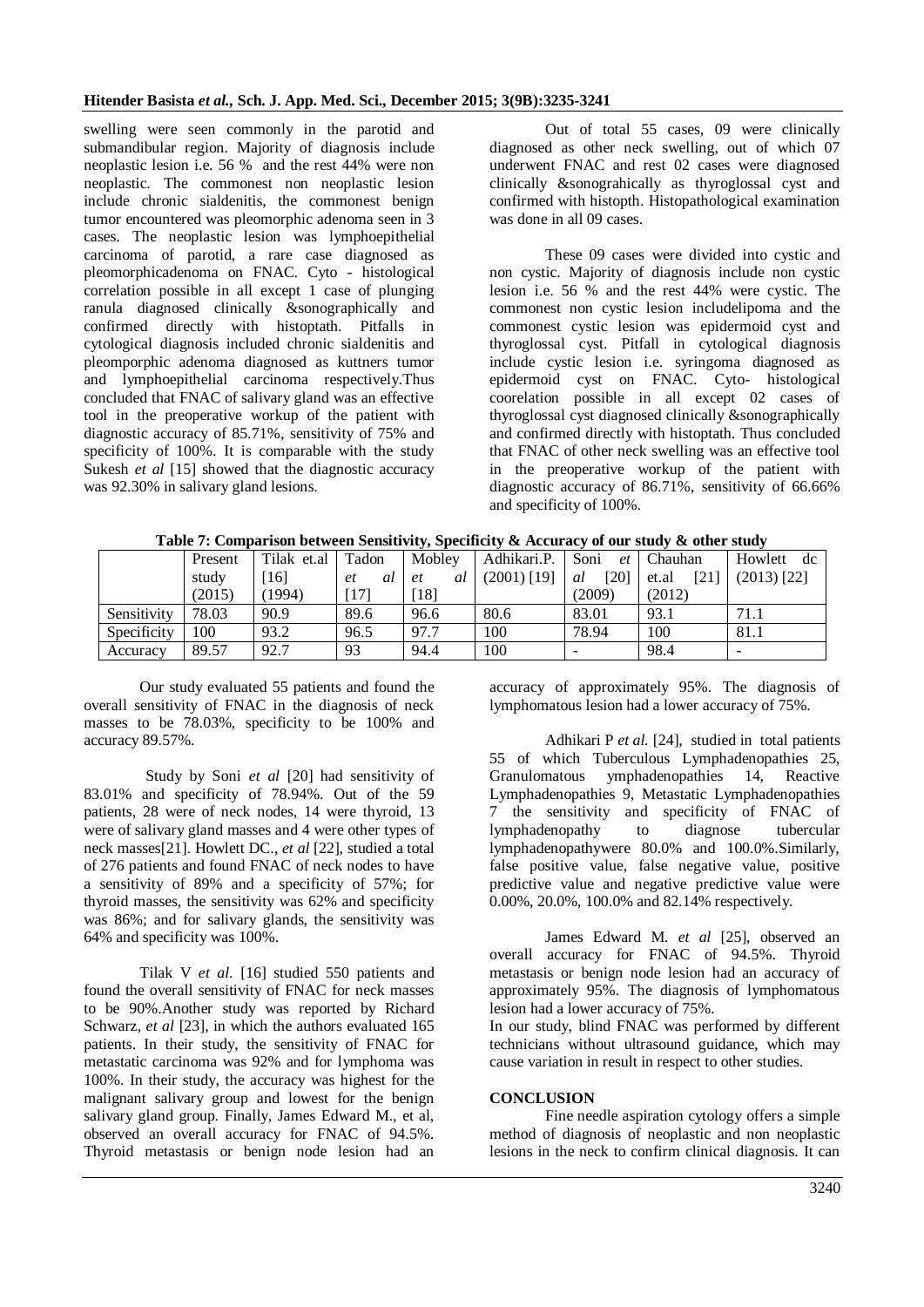swelling were seen commonly in the parotid and submandibular region. Majority of diagnosis include neoplastic lesion i.e. 56 % and the rest 44% were non neoplastic. The commonest non neoplastic lesion include chronic sialdenitis, the commonest benign tumor encountered was pleomorphic adenoma seen in 3 cases. The neoplastic lesion was lymphoepithelial carcinoma of parotid, a rare case diagnosed as pleomorphicadenoma on FNAC. Cyto - histological correlation possible in all except 1 case of plunging ranula diagnosed clinically &sonographically and confirmed directly with histoptath. Pitfalls in cytological diagnosis included chronic sialdenitis and pleomporphic adenoma diagnosed as kuttners tumor and lymphoepithelial carcinoma respectively.Thus concluded that FNAC of salivary gland was an effective tool in the preoperative workup of the patient with diagnostic accuracy of 85.71%, sensitivity of 75% and specificity of 100%. It is comparable with the study Sukesh *et al* [15] showed that the diagnostic accuracy was 92.30% in salivary gland lesions.

Out of total 55 cases, 09 were clinically diagnosed as other neck swelling, out of which 07 underwent FNAC and rest 02 cases were diagnosed clinically &sonograhically as thyroglossal cyst and confirmed with histopth. Histopathological examination was done in all 09 cases.

These 09 cases were divided into cystic and non cystic. Majority of diagnosis include non cystic lesion i.e. 56 % and the rest 44% were cystic. The commonest non cystic lesion includelipoma and the commonest cystic lesion was epidermoid cyst and thyroglossal cyst. Pitfall in cytological diagnosis include cystic lesion i.e. syringoma diagnosed as epidermoid cyst on FNAC. Cyto- histological coorelation possible in all except 02 cases of thyroglossal cyst diagnosed clinically &sonographically and confirmed directly with histoptath. Thus concluded that FNAC of other neck swelling was an effective tool in the preoperative workup of the patient with diagnostic accuracy of 86.71%, sensitivity of 66.66% and specificity of 100%.

|             |         |             |                 | . .      |               |            |                |                          |
|-------------|---------|-------------|-----------------|----------|---------------|------------|----------------|--------------------------|
|             | Present | Tilak et.al | Tadon           | Mobley   | Adhikari.P.   | Soni<br>et | <b>Chauhan</b> | Howlett<br>dc            |
|             | study   | 16          | <i>et</i><br>al | al<br>et | $(2001)$ [19] | [20]<br>al | [21]<br>et.al  | $(2013)$ [22]            |
|             | (2015)  | 1994)       | $[17]$          | $[18]$   |               | (2009)     | (2012)         |                          |
| Sensitivity | 78.03   | 90.9        | 89.6            | 96.6     | 80.6          | 83.01      | 93.1           | 71.1                     |
| Specificity | 100     | 93.2        | 96.5            | 97.7     | 100           | 78.94      | 100            | 81.1                     |
| Accuracy    | 89.57   | 92.7        | 93              | 94.4     | 100           | -          | 98.4           | $\overline{\phantom{a}}$ |

**Table 7: Comparison between Sensitivity, Specificity & Accuracy of our study & other study**

Our study evaluated 55 patients and found the overall sensitivity of FNAC in the diagnosis of neck masses to be 78.03%, specificity to be 100% and accuracy 89.57%.

 Study by Soni *et al* [20] had sensitivity of 83.01% and specificity of 78.94%. Out of the 59 patients, 28 were of neck nodes, 14 were thyroid, 13 were of salivary gland masses and 4 were other types of neck masses[21]. Howlett DC., *et al* [22], studied a total of 276 patients and found FNAC of neck nodes to have a sensitivity of 89% and a specificity of 57%; for thyroid masses, the sensitivity was 62% and specificity was 86%; and for salivary glands, the sensitivity was 64% and specificity was 100%.

Tilak V *et al*. [16] studied 550 patients and found the overall sensitivity of FNAC for neck masses to be 90%.Another study was reported by Richard Schwarz, *et al* [23], in which the authors evaluated 165 patients. In their study, the sensitivity of FNAC for metastatic carcinoma was 92% and for lymphoma was 100%. In their study, the accuracy was highest for the malignant salivary group and lowest for the benign salivary gland group. Finally, James Edward M., et al, observed an overall accuracy for FNAC of 94.5%. Thyroid metastasis or benign node lesion had an

accuracy of approximately 95%. The diagnosis of lymphomatous lesion had a lower accuracy of 75%.

Adhikari P *et al.* [24], studied in total patients 55 of which Tuberculous Lymphadenopathies 25, Granulomatous ymphadenopathies 14, Reactive Lymphadenopathies 9, Metastatic Lymphadenopathies 7 the sensitivity and specificity of FNAC of lymphadenopathy to diagnose tubercular lymphadenopathywere 80.0% and 100.0%.Similarly, false positive value, false negative value, positive predictive value and negative predictive value were 0.00%, 20.0%, 100.0% and 82.14% respectively.

James Edward M. *et al* [25], observed an overall accuracy for FNAC of 94.5%. Thyroid metastasis or benign node lesion had an accuracy of approximately 95%. The diagnosis of lymphomatous lesion had a lower accuracy of 75%.

In our study, blind FNAC was performed by different technicians without ultrasound guidance, which may cause variation in result in respect to other studies.

#### **CONCLUSION**

Fine needle aspiration cytology offers a simple method of diagnosis of neoplastic and non neoplastic lesions in the neck to confirm clinical diagnosis. It can